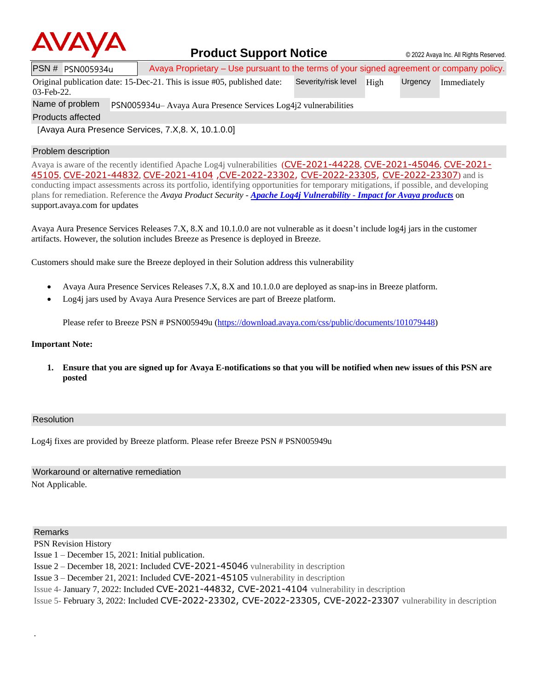

### **Product Support Notice**  $\circ$  2022 Avaya Inc. All Rights Reserved.

PSN # PSN005934u | Avaya Proprietary – Use pursuant to the terms of your signed agreement or company policy.

Original publication date: 15-Dec-21. This is issue #05, published date: Severity/risk level High Urgency Immediately

03-Feb-22.

Name of problem PSN005934u– Avaya Aura Presence Services Log4j2 vulnerabilities

Products affected

[Avaya Aura Presence Services, 7.X,8. X, 10.1.0.0]

### Problem description

Avaya is aware of the recently identified Apache Log4j vulnerabilities ([CVE-2021-44228](https://cve.mitre.org/cgi-bin/cvename.cgi?name=CVE-2021-44228), [CVE-2021-45046](https://cve.mitre.org/cgi-bin/cvename.cgi?name=CVE-2021-45046), [CVE-2021-](https://cve.mitre.org/cgi-bin/cvename.cgi?name=CVE-2021-45105) [45105](https://cve.mitre.org/cgi-bin/cvename.cgi?name=CVE-2021-45105), [CVE-2021-44832](https://cve.mitre.org/cgi-bin/cvename.cgi?name=CVE-2021-44832), [CVE-2021-4104](https://cve.mitre.org/cgi-bin/cvename.cgi?name=CVE-2021-4104) [,CVE-2022-23302,](https://www.cvedetails.com/cve/CVE-2022-23302/) [CVE-2022-23305,](https://www.cvedetails.com/cve/CVE-2022-23305/) [CVE-2022-23307](https://www.cvedetails.com/cve/CVE-2022-23307/)) and is conducting impact assessments across its portfolio, identifying opportunities for temporary mitigations, if possible, and developing plans for remediation. Reference the *Avaya Product Security - Apache Log4j Vulnerability - [Impact for Avaya products](http://www.avaya.com/emergencyupdate)* on support.avaya.com for updates

Avaya Aura Presence Services Releases 7.X, 8.X and 10.1.0.0 are not vulnerable as it doesn't include log4j jars in the customer artifacts. However, the solution includes Breeze as Presence is deployed in Breeze.

Customers should make sure the Breeze deployed in their Solution address this vulnerability

- Avaya Aura Presence Services Releases 7.X, 8.X and 10.1.0.0 are deployed as snap-ins in Breeze platform.
- Log4j jars used by Avaya Aura Presence Services are part of Breeze platform.

Please refer to Breeze PSN # PSN005949u [\(https://download.avaya.com/css/public/documents/101079448\)](https://download.avaya.com/css/public/documents/101079448)

#### **Important Note:**

**1. Ensure that you are signed up for Avaya E-notifications so that you will be notified when new issues of this PSN are posted**

### Resolution

Log4j fixes are provided by Breeze platform. Please refer Breeze PSN # PSN005949u

# Workaround or alternative remediation

Not Applicable.

### Remarks

.

PSN Revision History

Issue 1 – December 15, 2021: Initial publication.

Issue 2 – December 18, 2021: Included CVE-2021-45046 vulnerability in description

Issue 3 – December 21, 2021: Included CVE-2021-45105 vulnerability in description

Issue 4- January 7, 2022: Included CVE-2021-44832, CVE-2021-4104 vulnerability in description

Issue 5- February 3, 2022: Included CVE-2022-23302, CVE-2022-23305, CVE-2022-23307 vulnerability in description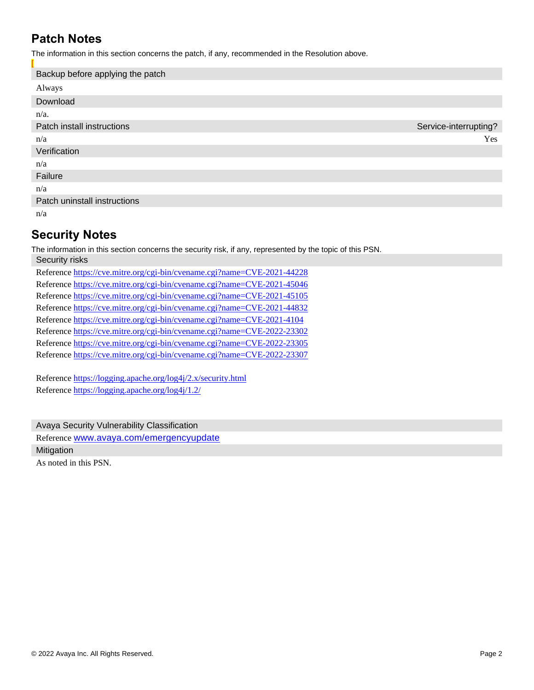## **Patch Notes**

The information in this section concerns the patch, if any, recommended in the Resolution above.

| Backup before applying the patch |                       |
|----------------------------------|-----------------------|
| Always                           |                       |
| Download                         |                       |
| $n/a$ .                          |                       |
| Patch install instructions       | Service-interrupting? |
| n/a                              | Yes                   |
| Verification                     |                       |
| n/a                              |                       |
| Failure                          |                       |
| n/a                              |                       |
| Patch uninstall instructions     |                       |
| n/a                              |                       |

## **Security Notes**

The information in this section concerns the security risk, if any, represented by the topic of this PSN. Security risks

Reference <https://cve.mitre.org/cgi-bin/cvename.cgi?name=CVE-2021-44228> Reference <https://cve.mitre.org/cgi-bin/cvename.cgi?name=CVE-2021-45046> Reference <https://cve.mitre.org/cgi-bin/cvename.cgi?name=CVE-2021-45105> Reference <https://cve.mitre.org/cgi-bin/cvename.cgi?name=CVE-2021-44832> Reference <https://cve.mitre.org/cgi-bin/cvename.cgi?name=CVE-2021-4104> Reference <https://cve.mitre.org/cgi-bin/cvename.cgi?name=CVE-2022-23302> Reference <https://cve.mitre.org/cgi-bin/cvename.cgi?name=CVE-2022-23305> Reference <https://cve.mitre.org/cgi-bin/cvename.cgi?name=CVE-2022-23307>

Reference<https://logging.apache.org/log4j/2.x/security.html> Reference<https://logging.apache.org/log4j/1.2/>

Avaya Security Vulnerability Classification Reference [www.avaya.com/emergencyupdate](http://www.avaya.com/emergencyupdate) Mitigation

As noted in this PSN.